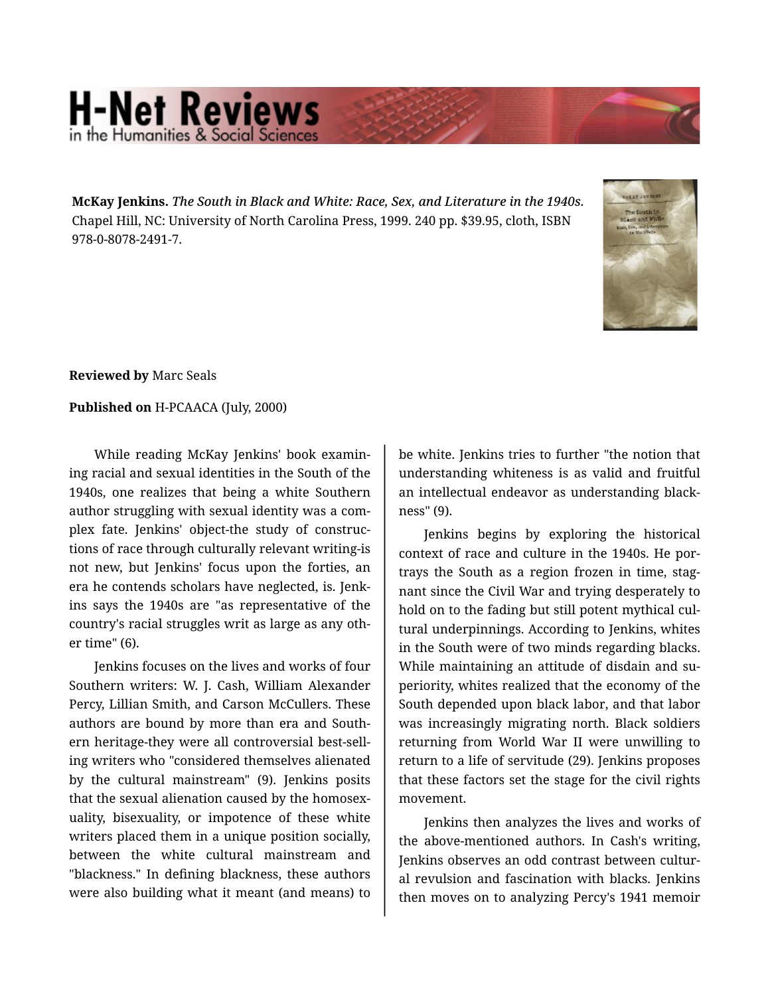## **H-Net Reviews** in the Humanities & Social Scie

**McKay Jenkins.** *The South in Black and White: Race, Sex, and Literature in the 1940s.*  Chapel Hill, NC: University of North Carolina Press, 1999. 240 pp. \$39.95, cloth, ISBN 978-0-8078-2491-7.



**Reviewed by** Marc Seals

## **Published on** H-PCAACA (July, 2000)

While reading McKay Jenkins' book examin‐ ing racial and sexual identities in the South of the 1940s, one realizes that being a white Southern author struggling with sexual identity was a com‐ plex fate. Jenkins' object-the study of construc‐ tions of race through culturally relevant writing-is not new, but Jenkins' focus upon the forties, an era he contends scholars have neglected, is. Jenk‐ ins says the 1940s are "as representative of the country's racial struggles writ as large as any oth‐ er time" (6).

Jenkins focuses on the lives and works of four Southern writers: W. J. Cash, William Alexander Percy, Lillian Smith, and Carson McCullers. These authors are bound by more than era and South‐ ern heritage-they were all controversial best-sell‐ ing writers who "considered themselves alienated by the cultural mainstream" (9). Jenkins posits that the sexual alienation caused by the homosex‐ uality, bisexuality, or impotence of these white writers placed them in a unique position socially, between the white cultural mainstream and "blackness." In defining blackness, these authors were also building what it meant (and means) to

be white. Jenkins tries to further "the notion that understanding whiteness is as valid and fruitful an intellectual endeavor as understanding black‐ ness" (9).

Jenkins begins by exploring the historical context of race and culture in the 1940s. He por‐ trays the South as a region frozen in time, stag‐ nant since the Civil War and trying desperately to hold on to the fading but still potent mythical cul‐ tural underpinnings. According to Jenkins, whites in the South were of two minds regarding blacks. While maintaining an attitude of disdain and superiority, whites realized that the economy of the South depended upon black labor, and that labor was increasingly migrating north. Black soldiers returning from World War II were unwilling to return to a life of servitude (29). Jenkins proposes that these factors set the stage for the civil rights movement.

Jenkins then analyzes the lives and works of the above-mentioned authors. In Cash's writing, Jenkins observes an odd contrast between cultur‐ al revulsion and fascination with blacks. Jenkins then moves on to analyzing Percy's 1941 memoir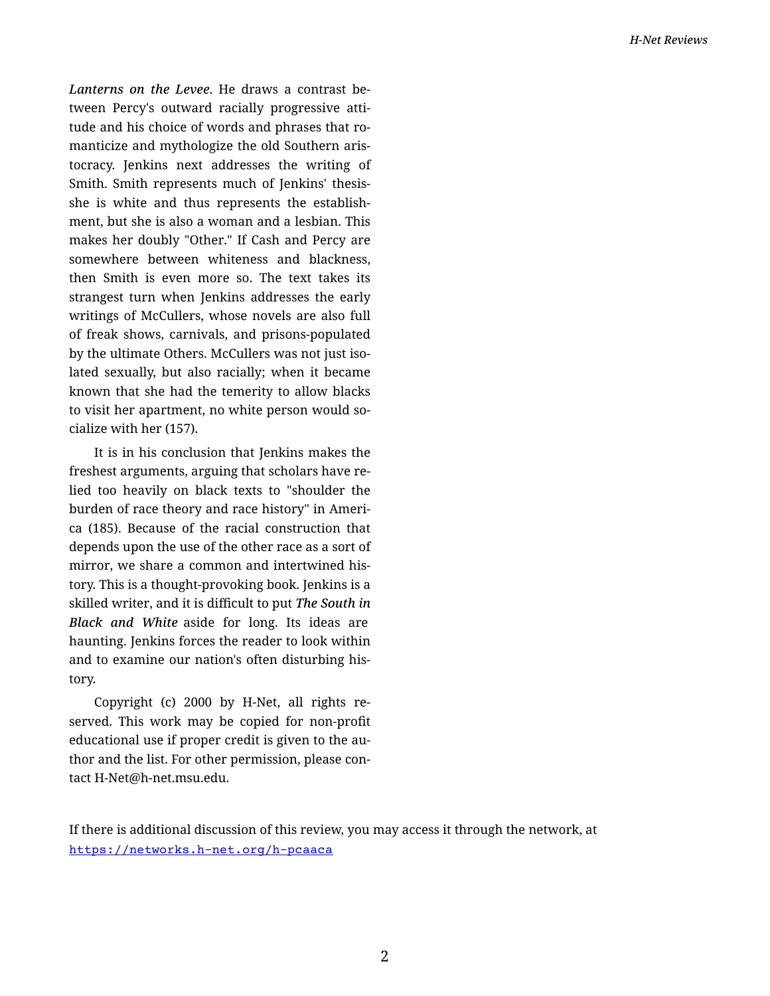*Lanterns on the Levee*. He draws a contrast be‐ tween Percy's outward racially progressive atti‐ tude and his choice of words and phrases that ro‐ manticize and mythologize the old Southern aris‐ tocracy. Jenkins next addresses the writing of Smith. Smith represents much of Jenkins' thesisshe is white and thus represents the establish‐ ment, but she is also a woman and a lesbian. This makes her doubly "Other." If Cash and Percy are somewhere between whiteness and blackness, then Smith is even more so. The text takes its strangest turn when Jenkins addresses the early writings of McCullers, whose novels are also full of freak shows, carnivals, and prisons-populated by the ultimate Others. McCullers was not just iso‐ lated sexually, but also racially; when it became known that she had the temerity to allow blacks to visit her apartment, no white person would so‐ cialize with her (157).

It is in his conclusion that Jenkins makes the freshest arguments, arguing that scholars have re‐ lied too heavily on black texts to "shoulder the burden of race theory and race history" in Ameri‐ ca (185). Because of the racial construction that depends upon the use of the other race as a sort of mirror, we share a common and intertwined his‐ tory. This is a thought-provoking book. Jenkins is a skilled writer, and it is difficult to put *The South in Black and White* aside for long. Its ideas are haunting. Jenkins forces the reader to look within and to examine our nation's often disturbing his‐ tory.

Copyright (c) 2000 by H-Net, all rights re‐ served. This work may be copied for non-profit educational use if proper credit is given to the au‐ thor and the list. For other permission, please con‐ tact H-Net@h-net.msu.edu.

If there is additional discussion of this review, you may access it through the network, at <https://networks.h-net.org/h-pcaaca>